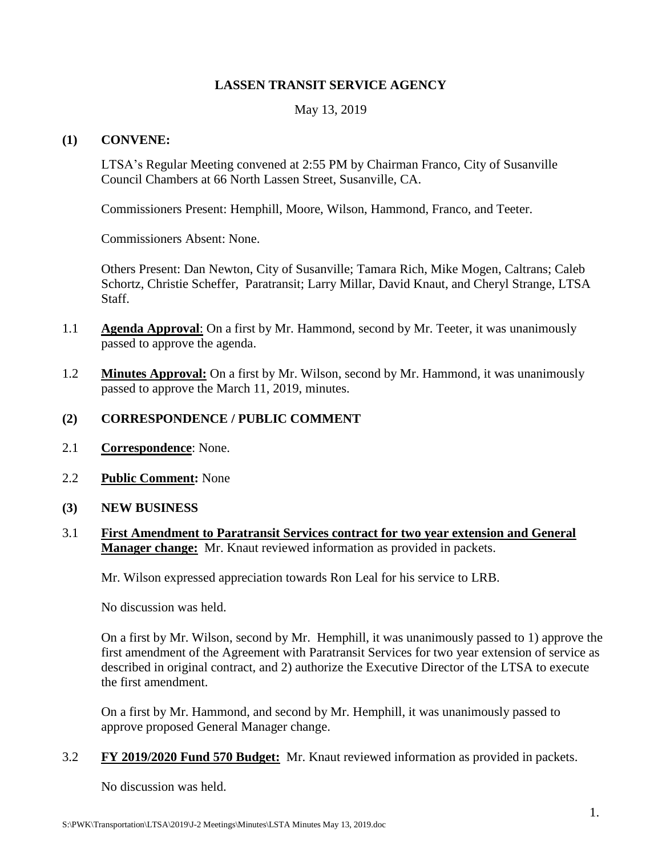#### **LASSEN TRANSIT SERVICE AGENCY**

May 13, 2019

#### **(1) CONVENE:**

LTSA's Regular Meeting convened at 2:55 PM by Chairman Franco, City of Susanville Council Chambers at 66 North Lassen Street, Susanville, CA.

Commissioners Present: Hemphill, Moore, Wilson, Hammond, Franco, and Teeter.

Commissioners Absent: None.

Others Present: Dan Newton, City of Susanville; Tamara Rich, Mike Mogen, Caltrans; Caleb Schortz, Christie Scheffer, Paratransit; Larry Millar, David Knaut, and Cheryl Strange, LTSA Staff.

- 1.1 **Agenda Approval**: On a first by Mr. Hammond, second by Mr. Teeter, it was unanimously passed to approve the agenda.
- 1.2 **Minutes Approval:** On a first by Mr. Wilson, second by Mr. Hammond, it was unanimously passed to approve the March 11, 2019, minutes.

## **(2) CORRESPONDENCE / PUBLIC COMMENT**

- 2.1 **Correspondence**: None.
- 2.2 **Public Comment:** None
- **(3) NEW BUSINESS**
- 3.1 **First Amendment to Paratransit Services contract for two year extension and General Manager change:** Mr. Knaut reviewed information as provided in packets.

Mr. Wilson expressed appreciation towards Ron Leal for his service to LRB.

No discussion was held.

On a first by Mr. Wilson, second by Mr. Hemphill, it was unanimously passed to 1) approve the first amendment of the Agreement with Paratransit Services for two year extension of service as described in original contract, and 2) authorize the Executive Director of the LTSA to execute the first amendment.

On a first by Mr. Hammond, and second by Mr. Hemphill, it was unanimously passed to approve proposed General Manager change.

3.2 **FY 2019/2020 Fund 570 Budget:** Mr. Knaut reviewed information as provided in packets.

No discussion was held.